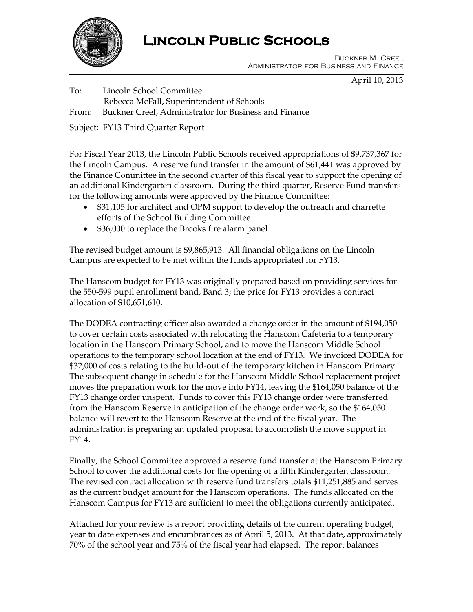

# **Lincoln Public Schools**

 Buckner M. Creel Administrator for Business and Finance

April 10, 2013

To: Lincoln School Committee Rebecca McFall, Superintendent of Schools From: Buckner Creel, Administrator for Business and Finance

Subject: FY13 Third Quarter Report

For Fiscal Year 2013, the Lincoln Public Schools received appropriations of \$9,737,367 for the Lincoln Campus. A reserve fund transfer in the amount of \$61,441 was approved by the Finance Committee in the second quarter of this fiscal year to support the opening of an additional Kindergarten classroom. During the third quarter, Reserve Fund transfers for the following amounts were approved by the Finance Committee:

- \$31,105 for architect and OPM support to develop the outreach and charrette efforts of the School Building Committee
- \$36,000 to replace the Brooks fire alarm panel

The revised budget amount is \$9,865,913. All financial obligations on the Lincoln Campus are expected to be met within the funds appropriated for FY13.

The Hanscom budget for FY13 was originally prepared based on providing services for the 550-599 pupil enrollment band, Band 3; the price for FY13 provides a contract allocation of \$10,651,610.

The DODEA contracting officer also awarded a change order in the amount of \$194,050 to cover certain costs associated with relocating the Hanscom Cafeteria to a temporary location in the Hanscom Primary School, and to move the Hanscom Middle School operations to the temporary school location at the end of FY13. We invoiced DODEA for \$32,000 of costs relating to the build-out of the temporary kitchen in Hanscom Primary. The subsequent change in schedule for the Hanscom Middle School replacement project moves the preparation work for the move into FY14, leaving the \$164,050 balance of the FY13 change order unspent. Funds to cover this FY13 change order were transferred from the Hanscom Reserve in anticipation of the change order work, so the \$164,050 balance will revert to the Hanscom Reserve at the end of the fiscal year. The administration is preparing an updated proposal to accomplish the move support in FY14.

Finally, the School Committee approved a reserve fund transfer at the Hanscom Primary School to cover the additional costs for the opening of a fifth Kindergarten classroom. The revised contract allocation with reserve fund transfers totals \$11,251,885 and serves as the current budget amount for the Hanscom operations. The funds allocated on the Hanscom Campus for FY13 are sufficient to meet the obligations currently anticipated.

Attached for your review is a report providing details of the current operating budget, year to date expenses and encumbrances as of April 5, 2013. At that date, approximately 70% of the school year and 75% of the fiscal year had elapsed. The report balances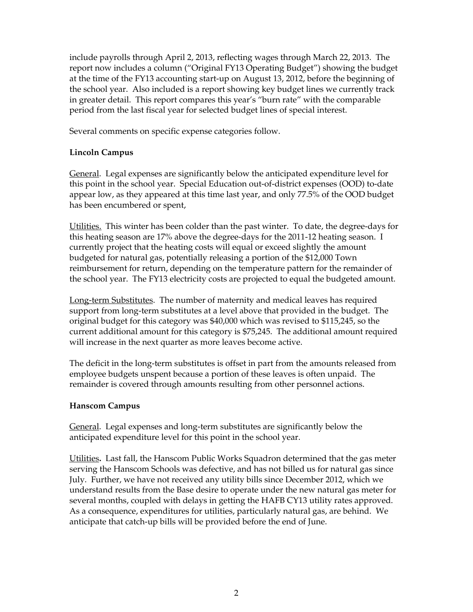include payrolls through April 2, 2013, reflecting wages through March 22, 2013. The report now includes a column ("Original FY13 Operating Budget") showing the budget at the time of the FY13 accounting start-up on August 13, 2012, before the beginning of the school year. Also included is a report showing key budget lines we currently track in greater detail. This report compares this year's "burn rate" with the comparable period from the last fiscal year for selected budget lines of special interest.

Several comments on specific expense categories follow.

### **Lincoln Campus**

General. Legal expenses are significantly below the anticipated expenditure level for this point in the school year. Special Education out-of-district expenses (OOD) to-date appear low, as they appeared at this time last year, and only 77.5% of the OOD budget has been encumbered or spent,

Utilities.This winter has been colder than the past winter. To date, the degree-days for this heating season are 17% above the degree-days for the 2011-12 heating season. I currently project that the heating costs will equal or exceed slightly the amount budgeted for natural gas, potentially releasing a portion of the \$12,000 Town reimbursement for return, depending on the temperature pattern for the remainder of the school year. The FY13 electricity costs are projected to equal the budgeted amount.

Long-term Substitutes. The number of maternity and medical leaves has required support from long-term substitutes at a level above that provided in the budget. The original budget for this category was \$40,000 which was revised to \$115,245, so the current additional amount for this category is \$75,245. The additional amount required will increase in the next quarter as more leaves become active.

The deficit in the long-term substitutes is offset in part from the amounts released from employee budgets unspent because a portion of these leaves is often unpaid. The remainder is covered through amounts resulting from other personnel actions.

### **Hanscom Campus**

General. Legal expenses and long-term substitutes are significantly below the anticipated expenditure level for this point in the school year.

Utilities**.** Last fall, the Hanscom Public Works Squadron determined that the gas meter serving the Hanscom Schools was defective, and has not billed us for natural gas since July. Further, we have not received any utility bills since December 2012, which we understand results from the Base desire to operate under the new natural gas meter for several months, coupled with delays in getting the HAFB CY13 utility rates approved. As a consequence, expenditures for utilities, particularly natural gas, are behind. We anticipate that catch-up bills will be provided before the end of June.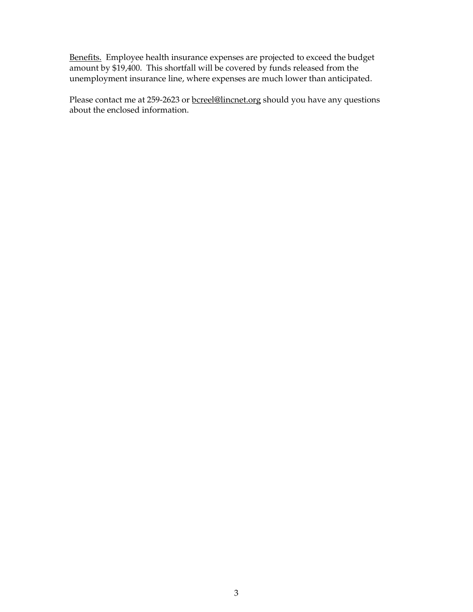Benefits. Employee health insurance expenses are projected to exceed the budget amount by \$19,400. This shortfall will be covered by funds released from the unemployment insurance line, where expenses are much lower than anticipated.

Please contact me at 259-2623 or **bcreel@lincnet.org** should you have any questions about the enclosed information.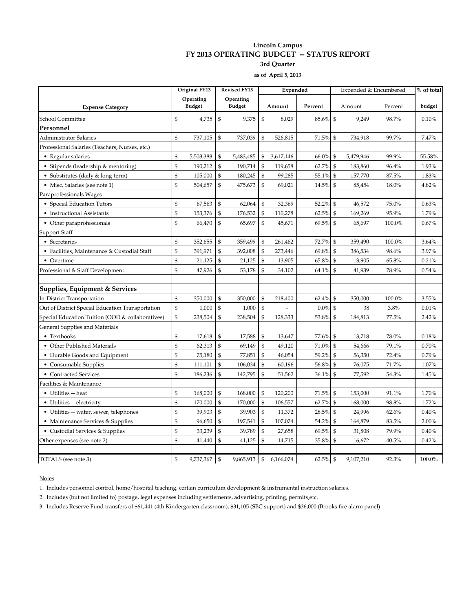#### **Lincoln Campus FY 2013 OPERATING BUDGET -- STATUS REPORT 3rd Quarter**

**as of April 5, 2013**

|                                                  |    | Original FY13              |             | <b>Revised FY13</b>        |                | Expended  |             |                | Expended & Encumbered | % of total |        |
|--------------------------------------------------|----|----------------------------|-------------|----------------------------|----------------|-----------|-------------|----------------|-----------------------|------------|--------|
| <b>Expense Category</b>                          |    | Operating<br><b>Budget</b> |             | Operating<br><b>Budget</b> |                | Amount    | Percent     |                | Amount                | Percent    | budget |
| School Committee                                 | \$ | 4,735                      | \$          | 9,375                      | \$             | 8,029     | 85.6%       | $\mathfrak{s}$ | 9,249                 | 98.7%      | 0.10%  |
| Personnel                                        |    |                            |             |                            |                |           |             |                |                       |            |        |
| Administrator Salaries                           | \$ | 737,105                    | \$          | 737,039                    | \$             | 526,815   | 71.5%       | $\mathfrak{S}$ | 734,918               | 99.7%      | 7.47%  |
| Professional Salaries (Teachers, Nurses, etc.)   |    |                            |             |                            |                |           |             |                |                       |            |        |
| • Regular salaries                               | \$ | 5,503,388                  | \$          | 5,483,485                  | $\mathbf S$    | 3,617,146 | 66.0%       | \$             | 5,479,946             | 99.9%      | 55.58% |
| • Stipends (leadership & mentoring)              | \$ | 190,212                    | \$          | 190,714                    | \$             | 119,658   | 62.7%       | \$             | 183,860               | 96.4%      | 1.93%  |
| • Substitutes (daily & long-term)                | \$ | 105,000                    | \$          | 180,245                    | \$             | 99,285    | 55.1%       | $\mathfrak{S}$ | 157,770               | 87.5%      | 1.83%  |
| • Misc. Salaries (see note 1)                    | \$ | 504,657                    | \$          | 475,673                    | \$             | 69,021    | 14.5%       | \$             | 85,454                | 18.0%      | 4.82%  |
| Paraprofessionals Wages                          |    |                            |             |                            |                |           |             |                |                       |            |        |
| • Special Education Tutors                       | \$ | 67,563                     | \$          | 62,064                     | \$             | 32,369    | 52.2%       | \$             | 46,572                | 75.0%      | 0.63%  |
| • Instructional Assistants                       | \$ | 153,376                    | $\mathbf S$ | 176,532                    | $\mathbf S$    | 110,278   | 62.5%       | $\mathfrak{S}$ | 169,269               | 95.9%      | 1.79%  |
| • Other paraprofessionals                        | \$ | 66,470                     | \$          | 65,697                     | \$             | 45,671    | 69.5%       | \$             | 65,697                | 100.0%     | 0.67%  |
| Support Staff                                    |    |                            |             |                            |                |           |             |                |                       |            |        |
| • Secretaries                                    | \$ | 352,655                    | \$          | 359,499                    | \$             | 261,462   | 72.7%       | \$             | 359,490               | 100.0%     | 3.64%  |
| • Facilities, Maintenance & Custodial Staff      | \$ | 391,971                    | $\mathbf S$ | 392,008                    | $\mathbf S$    | 273,446   | 69.8%       | $\mathfrak{s}$ | 386,534               | 98.6%      | 3.97%  |
| • Overtime                                       | \$ | 21,125                     | \$          | 21,125                     | \$             | 13,905    | 65.8%       | \$             | 13,905                | 65.8%      | 0.21%  |
| Professional & Staff Development                 | \$ | 47,926                     | \$          | 53,178                     | \$             | 34,102    | 64.1%       | \$             | 41,939                | 78.9%      | 0.54%  |
| Supplies, Equipment & Services                   |    |                            |             |                            |                |           |             |                |                       |            |        |
| <b>In-District Transportation</b>                | \$ | 350,000                    | \$          | 350,000                    | \$             | 218,400   | 62.4%       | \$             | 350,000               | 100.0%     | 3.55%  |
| Out of District Special Education Transportation | \$ | 1,000                      | \$          | 1,000                      | \$             |           | 0.0%        | $\mathfrak{S}$ | 38                    | 3.8%       | 0.01%  |
| Special Education Tuition (OOD & collaboratives) | \$ | 238,504                    | \$          | 238,504                    | \$             | 128,333   | 53.8%       | \$             | 184,813               | 77.5%      | 2.42%  |
| General Supplies and Materials                   |    |                            |             |                            |                |           |             |                |                       |            |        |
| • Textbooks                                      | \$ | 17,618                     | \$          | 17,588                     | \$             | 13,647    | 77.6%       | \$             | 13,718                | 78.0%      | 0.18%  |
| • Other Published Materials                      | \$ | 62,313                     | \$          | 69,149                     | \$             | 49,120    | 71.0%       | \$             | 54,666                | 79.1%      | 0.70%  |
| • Durable Goods and Equipment                    | \$ | 75,180                     | \$          | 77,851                     | \$             | 46,054    | 59.2%       | \$             | 56,350                | 72.4%      | 0.79%  |
| • Consumable Supplies                            | \$ | 111,101                    | \$          | 106,034                    | \$             | 60,196    | 56.8%       | \$             | 76,075                | 71.7%      | 1.07%  |
| • Contracted Services                            | \$ | 186,236                    | \$          | 142,795                    | \$             | 51,562    | 36.1%       | \$             | 77,592                | 54.3%      | 1.45%  |
| Facilities & Maintenance                         |    |                            |             |                            |                |           |             |                |                       |            |        |
| • Utilities -- heat                              | \$ | 168,000                    | \$          | 168,000                    | $\mathbf S$    | 120,200   | 71.5%       | \$             | 153,000               | 91.1%      | 1.70%  |
| • Utilities -- electricity                       | \$ | 170,000                    | \$          | 170,000                    | \$             | 106,557   | 62.7%       | \$             | 168,000               | 98.8%      | 1.72%  |
| • Utilities -- water, sewer, telephones          | \$ | 39,903                     | \$          | 39,903                     | \$             | 11,372    | 28.5%       | $\mathfrak{S}$ | 24,996                | 62.6%      | 0.40%  |
| • Maintenance Services & Supplies                | \$ | 96,650                     | \$          | 197,541                    | \$             | 107,074   | 54.2%       | \$             | 164,879               | 83.5%      | 2.00%  |
| • Custodial Services & Supplies                  | \$ | 33,239                     | \$          | 39,789                     | \$             | 27,658    | 69.5%       | \$             | 31,808                | 79.9%      | 0.40%  |
| Other expenses (see note 2)                      | \$ | 41,440                     | \$          | 41,125                     | \$             | 14,715    | 35.8%       | \$             | 16,672                | 40.5%      | 0.42%  |
| TOTALS (see note 3)                              | \$ | 9,737,367                  | \$          | 9,865,913                  | $\mathfrak{S}$ | 6,166,074 | $62.5\%$ \$ |                | 9,107,210             | 92.3%      | 100.0% |

**Notes** 

1. Includes personnel control, home/hospital teaching, certain curriculum development & instrumental instruction salaries.

2. Includes (but not limited to) postage, legal expenses including settlements, advertising, printing, permits,etc.

3. Includes Reserve Fund transfers of \$61,441 (4th Kindergarten classroom), \$31,105 (SBC support) and \$36,000 (Brooks fire alarm panel)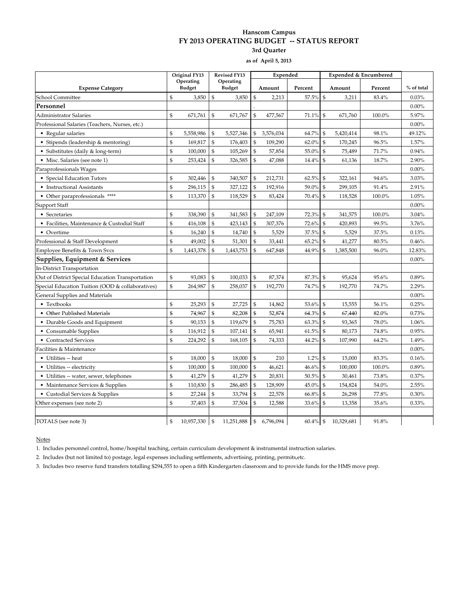#### **Hanscom Campus FY 2013 OPERATING BUDGET -- STATUS REPORT 3rd Quarter**

**as of April 5, 2013**

|                                                  | Original FY13  |               | <b>Revised FY13</b> |               |                | Expended  |             |                | Expended & Encumbered |         |            |
|--------------------------------------------------|----------------|---------------|---------------------|---------------|----------------|-----------|-------------|----------------|-----------------------|---------|------------|
|                                                  | Operating      |               | Operating           |               |                |           |             |                |                       |         |            |
| <b>Expense Category</b>                          | $\$$           | <b>Budget</b> |                     | <b>Budget</b> | $\$$           | Amount    | Percent     | \$             | Amount                | Percent | % of total |
| School Committee                                 |                | 3,850         | \$                  | 3,850         |                | 2,213     | 57.5%       |                | 3,211                 | 83.4%   | 0.03%      |
| Personnel                                        |                |               |                     |               |                |           |             |                |                       |         | $0.00\%$   |
| Administrator Salaries                           | \$             | 671,761       | \$                  | 671,767       | \$             | 477,567   | 71.1%       | \$             | 671,760               | 100.0%  | 5.97%      |
| Professional Salaries (Teachers, Nurses, etc.)   |                |               |                     |               |                |           |             |                |                       |         | $0.00\%$   |
| • Regular salaries                               | \$             | 5,558,986     | \$                  | 5,527,346     | \$             | 3,576,034 | 64.7%       | \$             | 5,420,414             | 98.1%   | 49.12%     |
| • Stipends (leadership & mentoring)              | \$             | 169,817       | $\mathfrak{s}$      | 176,403       | \$             | 109,290   | 62.0%       | \$             | 170,245               | 96.5%   | 1.57%      |
| · Substitutes (daily & long-term)                | $\mathfrak{S}$ | 100,000       | $\mathfrak{s}$      | 105,269       | $\mathfrak{s}$ | 57,854    | 55.0%       | \$             | 75,489                | 71.7%   | 0.94%      |
| • Misc. Salaries (see note 1)                    | \$             | 253,424       | $\mathfrak{s}$      | 326,585       | \$             | 47,088    | 14.4%       | \$             | 61,136                | 18.7%   | 2.90%      |
| Paraprofessionals Wages                          |                |               |                     |               |                |           |             |                |                       |         | $0.00\%$   |
| • Special Education Tutors                       | \$             | 302,446       | \$                  | 340,507       | \$             | 212,731   | 62.5%       | \$             | 322,161               | 94.6%   | 3.03%      |
| • Instructional Assistants                       | $\mathfrak{S}$ | 296,115       | $\mathfrak{s}$      | 327,122       | $\mathcal{S}$  | 192,916   | 59.0%       | \$             | 299,105               | 91.4%   | 2.91%      |
| • Other paraprofessionals ****                   | \$             | 113,370       | \$                  | 118,529       | $\mathbb{S}$   | 83,424    | 70.4%       | $\$$           | 118,528               | 100.0%  | 1.05%      |
| Support Staff                                    |                |               |                     |               |                |           |             |                |                       |         | $0.00\%$   |
| • Secretaries                                    | \$             | 338,390       | \$                  | 341,583       | \$             | 247,109   | 72.3%       | \$             | 341,575               | 100.0%  | 3.04%      |
| • Facilities, Maintenance & Custodial Staff      | \$             | 416,108       | \$                  | 423,143       | \$             | 307,376   | 72.6%       | \$             | 420,893               | 99.5%   | 3.76%      |
| • Overtime                                       | \$             | 16,240        | $\mathfrak{s}$      | 14,740        | $\mathcal{S}$  | 5,529     | 37.5%       | \$             | 5,529                 | 37.5%   | 0.13%      |
| Professional & Staff Development                 | $\mathfrak{S}$ | 49,002        | $\mathfrak{s}$      | 51,301        | $\$$           | 33,441    | 65.2%       | $\mathbb{S}$   | 41,277                | 80.5%   | 0.46%      |
| Employee Benefits & Town Svcs                    | \$             | 1,443,378     | $\mathcal{S}$       | 1,443,753     | \$             | 647,848   | 44.9%       | \$             | 1,385,500             | 96.0%   | 12.83%     |
| Supplies, Equipment & Services                   |                |               |                     |               |                |           |             |                |                       |         | $0.00\%$   |
| In-District Transportation                       |                |               |                     |               |                |           |             |                |                       |         |            |
| Out of District Special Education Transportation | \$             | 93,083        | $\mathfrak{s}$      | 100,033       | $\$$           | 87,374    | 87.3%       | $\mathfrak{s}$ | 95,624                | 95.6%   | 0.89%      |
| Special Education Tuition (OOD & collaboratives) | \$             | 264,987       | $\mathfrak{s}$      | 258,037       | $\mathfrak{s}$ | 192,770   | 74.7%       | $\mathfrak{s}$ | 192,770               | 74.7%   | 2.29%      |
| General Supplies and Materials                   |                |               |                     |               |                |           |             |                |                       |         | $0.00\%$   |
| • Textbooks                                      | \$             | 25,293        | \$                  | 27,725        | \$             | 14,862    | 53.6%       | \$             | 15,555                | 56.1%   | 0.25%      |
| • Other Published Materials                      | \$             | 74,967        | $\mathbf S$         | 82,208        | $\mathcal{S}$  | 52,874    | 64.3%       | \$             | 67,440                | 82.0%   | 0.73%      |
| • Durable Goods and Equipment                    | \$             | 90,153        | $\mathfrak{s}$      | 119,679       | \$             | 75,783    | 63.3%       | $\mathbb{S}$   | 93,365                | 78.0%   | 1.06%      |
| • Consumable Supplies                            | \$             | 116,912       | $\mathfrak{s}$      | 107,141       | $\mathfrak{s}$ | 65,941    | 61.5%       | \$             | 80,173                | 74.8%   | 0.95%      |
| • Contracted Services                            | \$             | 224,292       | $\mathfrak{s}$      | 168,105       | $\mathfrak{s}$ | 74,333    | 44.2%       | \$             | 107,990               | 64.2%   | 1.49%      |
| Facilities & Maintenance                         |                |               |                     |               |                |           |             |                |                       |         | $0.00\%$   |
| • Utilities -- heat                              | \$             | 18,000        | \$                  | 18,000        | $\mathfrak{S}$ | 210       | 1.2%        | \$             | 15,000                | 83.3%   | 0.16%      |
| • Utilities -- electricity                       | $\mathfrak{S}$ | 100,000       | $\mathfrak{s}$      | 100,000       | \$             | 46,621    | 46.6%       | $\mathbb{S}$   | 100,000               | 100.0%  | 0.89%      |
| • Utilities -- water, sewer, telephones          | $\mathfrak{S}$ | 41,279        | $\mathfrak{S}$      | 41,279        | $\mathbf{\$}$  | 20,831    | 50.5%       | \$             | 30,461                | 73.8%   | 0.37%      |
| • Maintenance Services & Supplies                | \$             | 110,830       | $\mathfrak{s}$      | 286,485       | \$             | 128,909   | 45.0%       | \$             | 154,824               | 54.0%   | 2.55%      |
| • Custodial Services & Supplies                  | \$             | 27,244        | \$                  | 33,794        | \$             | 22,578    | 66.8%       | \$             | 26,298                | 77.8%   | 0.30%      |
| Other expenses (see note 2)                      | \$             | 37,403        | $\mathbf S$         | 37,504        | \$             | 12,588    | 33.6%       | \$             | 13,358                | 35.6%   | 0.33%      |
|                                                  |                |               |                     |               |                |           |             |                |                       |         |            |
| TOTALS (see note 3)                              | $\mathfrak{s}$ | 10,957,330    | $\mathfrak{s}$      | 11.251.888    | $\mathsf{I}$   | 6.796.094 | $60.4\%$ \$ |                | 10.329.681            | 91.8%   |            |

Notes

1. Includes personnel control, home/hospital teaching, certain curriculum development & instrumental instruction salaries.

2. Includes (but not limited to) postage, legal expenses including settlements, advertising, printing, permits,etc.

3. Includes two reserve fund transfers totalling \$294,555 to open a fifth Kindergarten classroom and to provide funds for the HMS move prep.